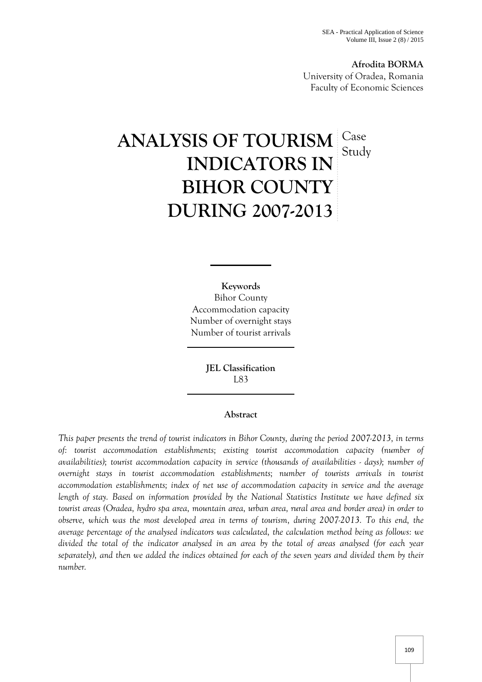**Afrodita BORMA** University of Oradea, Romania Faculty of Economic Sciences

# ANALYSIS OF TOURISM Case **INDICATORS IN BIHOR COUNTY DURING 2007-2013** Study

**Keywords** Bihor County Accommodation capacity Number of overnight stays Number of tourist arrivals

> **JEL Classification** L83

## **Abstract**

*This paper presents the trend of tourist indicators in Bihor County, during the period 2007-2013, in terms of: tourist accommodation establishments; existing tourist accommodation capacity (number of availabilities); tourist accommodation capacity in service (thousands of availabilities - days); number of overnight stays in tourist accommodation establishments; number of tourists arrivals in tourist accommodation establishments; index of net use of accommodation capacity in service and the average length of stay. Based on information provided by the National Statistics Institute we have defined six tourist areas (Oradea, hydro spa area, mountain area, urban area, rural area and border area) in order to observe, which was the most developed area in terms of tourism, during 2007-2013. To this end, the average percentage of the analysed indicators was calculated, the calculation method being as follows: we divided the total of the indicator analysed in an area by the total of areas analysed (for each year separately), and then we added the indices obtained for each of the seven years and divided them by their number.*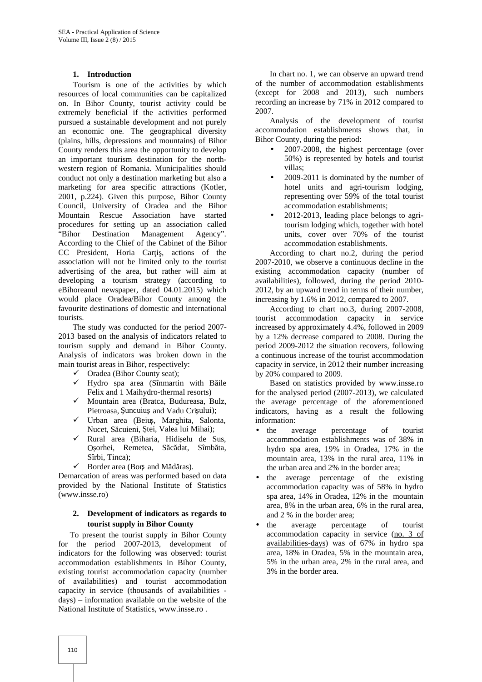#### **1. Introduction**

Tourism is one of the activities by which resources of local communities can be capitalized on. In Bihor County, tourist activity could be extremely beneficial if the activities performed pursued a sustainable development and not purely an economic one. The geographical diversity (plains, hills, depressions and mountains) of Bihor County renders this area the opportunity to develop an important tourism destination for the north western region of Romania. Municipalities should conduct not only a destination marketing but also a marketing for area specific attractions (Kotler, 2001, p.224). Given this purpose, Bihor County Council, University of Oradea and the Bihor Mountain Rescue Association have started procedures for setting up an association called "Bihor Destination Management Agency". According to the Chief of the Cabinet of the Bihor CC President, Horia Cari, actions of the association will not be limited only to the tourist advertising of the area, but rather will aim at developing a tourism strategy (according to eBihoreanul newspaper, dated 04.01.2015) which would place Oradea/Bihor County among the favourite destinations of domestic and international tourists.

The study was conducted for the period 2007- 2013 based on the analysis of indicators related to tourism supply and demand in Bihor County. Analysis of indicators was broken down in the main tourist areas in Bihor, respectively:

- Oradea (Bihor County seat);
- $\checkmark$  Hydro spa area (Sînmartin with B ile Felix and 1 Maihydro-thermal resorts)
- $\checkmark$  Mountain area (Bratca, Budureasa, Bulz, Pietroasa, uncuiu and Vadu Cri ului);
- $\checkmark$  Urban area (Beiu, Marghita, Salonta, Nucet, S cuieni, tei, Valea lui Mihai);
- $\checkmark$  Rural area (Biharia, Hidi elu de Sus, O orhei, Remetea, S c dat, Sîmb ta, Sîrbi, Tinca);
- $\checkmark$  Border area (Bor and M d ras).

Demarcation of areas was performed based on data provided by the National Institute of Statistics (www.insse.ro)

## **2. Development of indicators as regards to tourist supply in Bihor County**

To present the tourist supply in Bihor County for the period 2007-2013, development of indicators for the following was observed: tourist accommodation establishments in Bihor County, existing tourist accommodation capacity (number of availabilities) and tourist accommodation capacity in service (thousands of availabilities days) – information available on the website of the National Institute of Statistics, www.insse.ro .

In chart no. 1, we can observe an upward trend of the number of accommodation establishments (except for 2008 and 2013), such numbers recording an increase by 71% in 2012 compared to 2007.

Analysis of the development of tourist accommodation establishments shows that, in Bihor County, during the period:

- 2007-2008, the highest percentage (over 50%) is represented by hotels and tourist villas;
- 2009-2011 is dominated by the number of hotel units and agri-tourism lodging, representing over 59% of the total tourist accommodation establishments;
- 2012-2013, leading place belongs to agritourism lodging which, together with hotel units, cover over 70% of the tourist accommodation establishments.

According to chart no.2, during the period 2007-2010, we observe a continuous decline in the existing accommodation capacity (number of availabilities), followed, during the period 2010- 2012, by an upward trend in terms of their number, increasing by 1.6% in 2012, compared to 2007.

According to chart no.3, during 2007-2008, tourist accommodation capacity in service increased by approximately 4.4%, followed in 2009 by a 12% decrease compared to 2008. During the period 2009-2012 the situation recovers, following a continuous increase of the tourist accommodation capacity in service, in 2012 their number increasing by 20% compared to 2009.

Based on statistics provided by www.insse.ro for the analysed period (2007-2013), we calculated the average percentage of the aforementioned indicators, having as a result the following information:

- the average percentage of tourist accommodation establishments was of 38% in hydro spa area, 19% in Oradea, 17% in the mountain area, 13% in the rural area, 11% in the urban area and 2% in the border area;
- the average percentage of the existing accommodation capacity was of 58% in hydro spa area, 14% in Oradea, 12% in the mountain area, 8% in the urban area, 6% in the rural area, and 2 % in the border area;
- the average percentage of tourist accommodation capacity in service (no. 3 of availabilities-days) was of 67% in hydro spa area, 18% in Oradea, 5% in the mountain area, 5% in the urban area, 2% in the rural area, and 3% in the border area.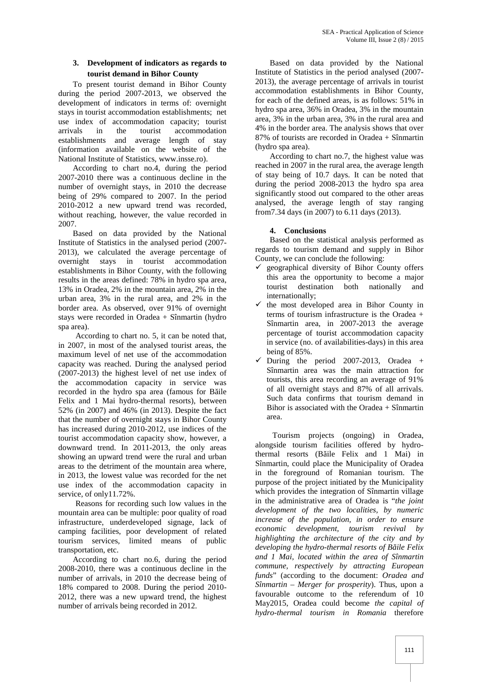## **3. Development of indicators as regards to tourist demand in Bihor County**

To present tourist demand in Bihor County during the period 2007-2013, we observed the development of indicators in terms of: overnight stays in tourist accommodation establishments; net use index of accommodation capacity; tourist arrivals in the tourist accommodation establishments and average length of stay (information available on the website of the National Institute of Statistics, www.insse.ro).

According to chart no.4, during the period 2007-2010 there was a continuous decline in the number of overnight stays, in 2010 the decrease being of 29% compared to 2007. In the period 2010-2012 a new upward trend was recorded, without reaching, however, the value recorded in 2007.<br>Based on data provided by the National

Institute of Statistics in the analysed period (2007- 2013), we calculated the average percentage of overnight stays in tourist accommodation  $C_0$ establishments in Bihor County, with the following results in the areas defined: 78% in hydro spa area, 13% in Oradea, 2% in the mountain area, 2% in the urban area, 3% in the rural area, and 2% in the border area. As observed, over 91% of overnight stays were recorded in Oradea + Sînmartin (hydro spa area).

According to chart no. 5, it can be noted that, in 2007, in most of the analysed tourist areas, the maximum level of net use of the accommodation capacity was reached. During the analysed period (2007-2013) the highest level of net use index of the accommodation capacity in service was recorded in the hydro spa area (famous for B ile Felix and 1 Mai hydro-thermal resorts), between 52% (in 2007) and 46% (in 2013). Despite the fact that the number of overnight stays in Bihor County has increased during 2010-2012, use indices of the tourist accommodation capacity show, however, a downward trend. In 2011-2013, the only areas showing an upward trend were the rural and urban areas to the detriment of the mountain area where, in 2013, the lowest value was recorded for the net use index of the accommodation capacity in service, of only11.72%.

Reasons for recording such low values in the mountain area can be multiple: poor quality of road infrastructure, underdeveloped signage, lack of camping facilities, poor development of related tourism services, limited means of public transportation, etc.

According to chart no.6, during the period 2008-2010, there was a continuous decline in the number of arrivals, in 2010 the decrease being of 18% compared to 2008. During the period 2010- 2012, there was a new upward trend, the highest number of arrivals being recorded in 2012.

Based on data provided by the National Institute of Statistics in the period analysed (2007- 2013), the average percentage of arrivals in tourist accommodation establishments in Bihor County, for each of the defined areas, is as follows: 51% in hydro spa area, 36% in Oradea, 3% in the mountain area, 3% in the urban area, 3% in the rural area and 4% in the border area. The analysis shows that over 87% of tourists are recorded in Oradea + Sînmartin (hydro spa area).

According to chart no.7, the highest value was reached in 2007 in the rural area, the average length of stay being of 10.7 days. It can be noted that during the period 2008-2013 the hydro spa area significantly stood out compared to the other areas analysed, the average length of stay ranging from7.34 days (in 2007) to 6.11 days (2013).

## **4. Conclusions**

Based on the statistical analysis performed as regards to tourism demand and supply in Bihor County, we can conclude the following:

- geographical diversity of Bihor County offers this area the opportunity to become a major tourist destination both nationally and internationally;
- the most developed area in Bihor County in terms of tourism infrastructure is the Oradea + Sînmartin area, in 2007-2013 the average percentage of tourist accommodation capacity in service (no. of availabilities-days) in this area being of 85%.
- During the period 2007-2013, Oradea + Sînmartin area was the main attraction for tourists, this area recording an average of 91% of all overnight stays and 87% of all arrivals. Such data confirms that tourism demand in Bihor is associated with the Oradea + Sînmartin area.

Tourism projects (ongoing) in Oradea, alongside tourism facilities offered by hydrothermal resorts (B ile Felix and 1 Mai) in Sînmartin, could place the Municipality of Oradea in the foreground of Romanian tourism. The purpose of the project initiated by the Municipality which provides the integration of Sînmartin village in the administrative area of Oradea is "*the joint development of the two localities, by numeric increase of the population, in order to ensure economic development, tourism revival by highlighting the architecture of the city and by developing the hydro-thermal resorts of Băile Felix and 1 Mai, located within the area of Sînmartin commune, respectively by attracting European funds*" (according to the document: *Oradea and Sînmartin – Merger for prosperity*). Thus, upon a favourable outcome to the referendum of 10 May2015, Oradea could become *the capital of hydro-thermal tourism in Romania* therefore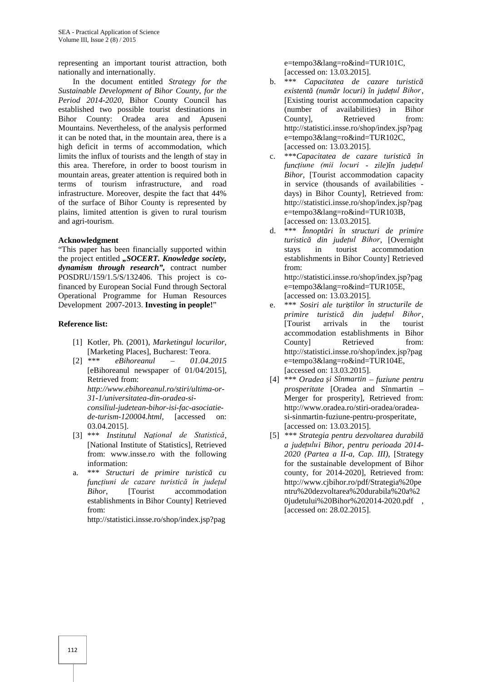representing an important tourist attraction, both nationally and internationally.

In the document entitled *Strategy for the Sustainable Development of Bihor County*, *for the Period 2014-2020*, Bihor County Council has established two possible tourist destinations in Bihor County: Oradea area and Apuseni Mountains. Nevertheless, of the analysis performed it can be noted that, in the mountain area, there is a high deficit in terms of accommodation, which limits the influx of tourists and the length of stay in this area. Therefore, in order to boost tourism in mountain areas, greater attention is required both in terms of tourism infrastructure, and road infrastructure. Moreover, despite the fact that 44% of the surface of Bihor County is represented by plains, limited attention is given to rural tourism and agri-tourism.

#### **Acknowledgment**

"This paper has been financially supported within the project entitled "*SOCERT. Knowledge society*, *dynamism through research",* contract number POSDRU/159/1.5/S/132406. This project is cofinanced by European Social Fund through Sectoral Operational Programme for Human Resources Development 2007-2013. **Investing in people!**"

#### **Reference list:**

- [1] Kotler, Ph. (2001), *Marketingul locurilor*, [Marketing Places], Bucharest: Teora.
- [2] *\*\*\* eBihoreanul – 01.04.2015* [eBihoreanul newspaper of 01/04/2015]*,* Retrieved from: *http://www.ebihoreanul.ro/stiri/ultima-or- 31-1/universitatea-din-oradea-si consiliul-judetean-bihor-isi-fac-asociatie de-turism-120004.html,* [accessed on: 03.04.2015]. [3] \*\*\* *Institutul Național de Statistică*,
- [National Institute of Statistics], Retrieved from: www.insse.ro with the following information:
- a. \*\*\* *Structuri de primire turistic cu funcțiuni de cazare turistică în județul Bihor*, [Tourist accommodation establishments in Bihor County] Retrieved from:

http://statistici.insse.ro/shop/index.jsp?pag

e=tempo3&lang=ro&ind=TUR101C, [accessed on: 13.03.2015].

- b. \*\*\* *Capacitatea de cazare turistic existentă (număr locuri) în județul Bihor*, [Existing tourist accommodation capacity (number of availabilities) in Bihor Countyl. Retrieved from: http://statistici.insse.ro/shop/index.jsp?pag e=tempo3&lang=ro&ind=TUR102C, [accessed on: 13.03.2015].
- c. \*\*\**Capacitatea de cazare turistic în funcțiune (mii locuri - zile)în județul Bihor*, [Tourist accommodation capacity in service (thousands of availabilities days) in Bihor County], Retrieved from: http://statistici.insse.ro/shop/index.jsp?pag e=tempo3&lang=ro&ind=TUR103B, [accessed on: 13.03.2015].
- d. \*\*\* *Înnopt ri în structuri de primire turistică din județul Bihor*, [Overnight stays in tourist accommodation establishments in Bihor County] Retrieved from:

http://statistici.insse.ro/shop/index.jsp?pag e=tempo3&lang=ro&ind=TUR105E, [accessed on: 13.03.2015].

- e. \*\*\* *Sosiri ale turiștilor în structurile de primire turistic din județul Bihor*,<br>
[Tourist arrivals in the tourist [Tourist arrivals in the tourist accommodation establishments in Bihor County **Retrieved** from: http://statistici.insse.ro/shop/index.jsp?pag e=tempo3&lang=ro&ind=TUR104E, [accessed on: 13.03.2015].
- [4] \*\*\* *Oradea și Sînmartin – fuziune pentru prosperitate* [Oradea and Sînmartin – Merger for prosperity], Retrieved from: http://www.oradea.ro/stiri-oradea/oradea si-sinmartin-fuziune-pentru-prosperitate, [accessed on: 13.03.2015].
- [5] *\*\*\* Strategia pentru dezvoltarea durabilă a județului Bihor, pentru perioada 2014- 2020 (Partea a II-a, Cap. III)*, [Strategy for the sustainable development of Bihor county, for 2014-2020], Retrieved from: http://www.cjbihor.ro/pdf/Strategia%20pe ntru%20dezvoltarea%20durabila%20a%2 0judetului%20Bihor%202014-2020.pdf , [accessed on: 28.02.2015].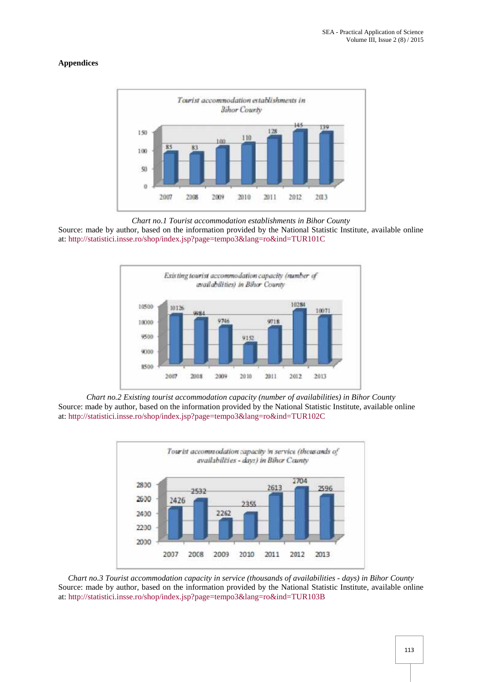## **Appendices**



*Chart no.1 Tourist accommodation establishments in Bihor County*

Source: made by author, based on the information provided by the National Statistic Institute, available online at: http://statistici.insse.ro/shop/index.jsp?page=tempo3&lang=ro&ind=TUR101C



*Chart no.2 Existing tourist accommodation capacity (number of availabilities) in Bihor County* Source: made by author, based on the information provided by the National Statistic Institute, available online at: http://statistici.insse.ro/shop/index.jsp?page=tempo3&lang=ro&ind=TUR102C



*Chart no.3 Tourist accommodation capacity in service (thousands of availabilities - days) in Bihor County* Source: made by author, based on the information provided by the National Statistic Institute, available online at: http://statistici.insse.ro/shop/index.jsp?page=tempo3&lang=ro&ind=TUR103B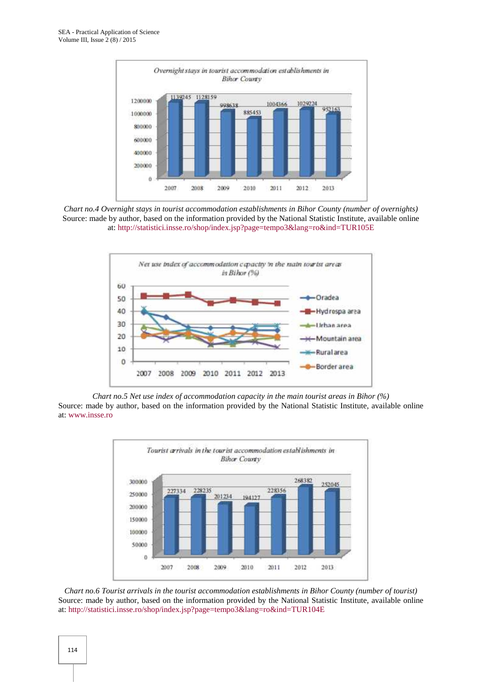

*Chart no.4 Overnight stays in tourist accommodation establishments in Bihor County (number of overnights)* Source: made by author, based on the information provided by the National Statistic Institute, available online at: http://statistici.insse.ro/shop/index.jsp?page=tempo3&lang=ro&ind=TUR105E



*Chart no.5 Net use index of accommodation capacity in the main tourist areas in Bihor (%)* Source: made by author, based on the information provided by the National Statistic Institute, available online at: www.insse.ro